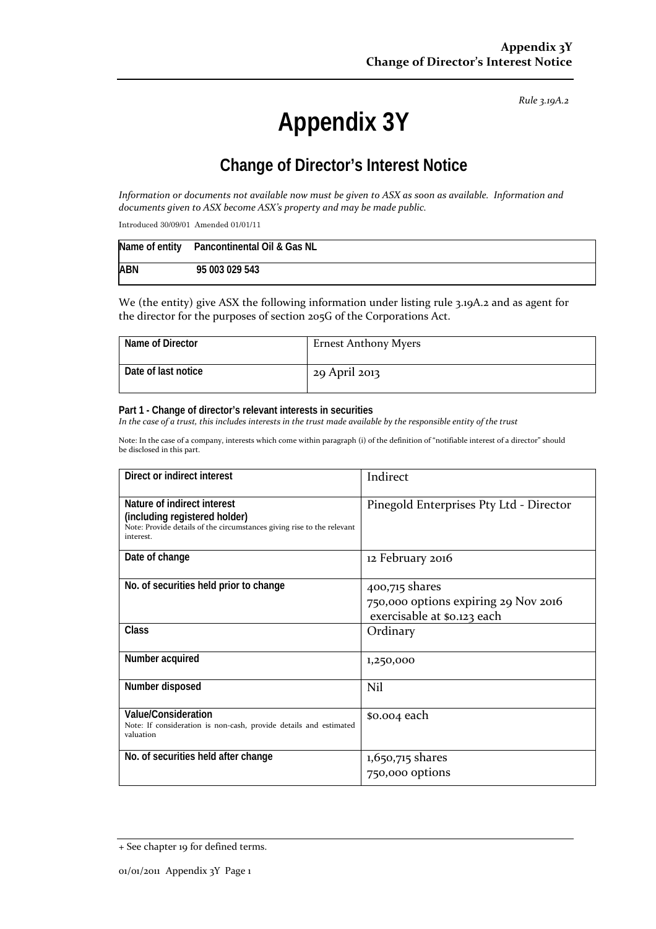*Rule 3.19A.2*

# **Appendix 3Y**

# **Change of Director's Interest Notice**

Information or documents not available now must be given to ASX as soon as available. Information and *documents given to ASX become ASX's property and may be made public.*

Introduced 30/09/01 Amended 01/01/11

|            | Name of entity Pancontinental Oil & Gas NL |
|------------|--------------------------------------------|
| <b>ABN</b> | 95 003 029 543                             |

We (the entity) give ASX the following information under listing rule 3.19A.2 and as agent for the director for the purposes of section 205G of the Corporations Act.

| Name of Director    | <b>Ernest Anthony Myers</b> |
|---------------------|-----------------------------|
| Date of last notice | 29 April 2013               |

#### **Part 1 - Change of director's relevant interests in securities**

In the case of a trust, this includes interests in the trust made available by the responsible entity of the trust

Note: In the case of a company, interests which come within paragraph (i) of the definition of "notifiable interest of a director" should be disclosed in this part.

| Direct or indirect interest                                                                                                                         | Indirect                                                                              |
|-----------------------------------------------------------------------------------------------------------------------------------------------------|---------------------------------------------------------------------------------------|
| Nature of indirect interest<br>(including registered holder)<br>Note: Provide details of the circumstances giving rise to the relevant<br>interest. | Pinegold Enterprises Pty Ltd - Director                                               |
| Date of change                                                                                                                                      | 12 February 2016                                                                      |
| No. of securities held prior to change                                                                                                              | 400,715 shares<br>750,000 options expiring 29 Nov 2016<br>exercisable at \$0.123 each |
| Class                                                                                                                                               | Ordinary                                                                              |
| Number acquired                                                                                                                                     | 1,250,000                                                                             |
| Number disposed                                                                                                                                     | Nil                                                                                   |
| Value/Consideration<br>Note: If consideration is non-cash, provide details and estimated<br>valuation                                               | \$0.004 each                                                                          |
| No. of securities held after change                                                                                                                 | $1,650,715$ shares<br>750,000 options                                                 |

<sup>+</sup> See chapter 19 for defined terms.